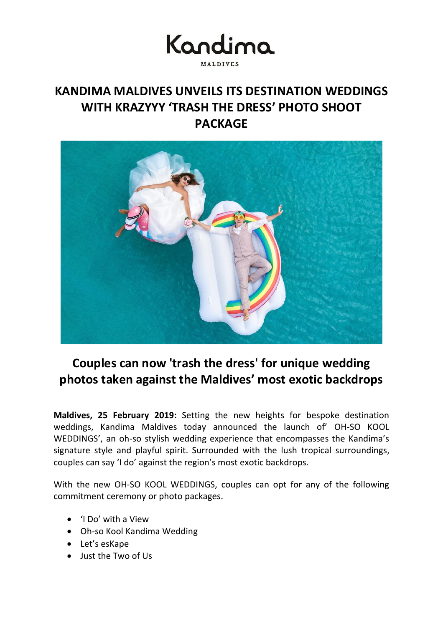# Kandima **MALDIVES**

### **KANDIMA MALDIVES UNVEILS ITS DESTINATION WEDDINGS WITH KRAZYYY 'TRASH THE DRESS' PHOTO SHOOT PACKAGE**



## **Couples can now 'trash the dress' for unique wedding photos taken against the Maldives' most exotic backdrops**

**Maldives, 25 February 2019:** Setting the new heights for bespoke destination weddings, Kandima Maldives today announced the launch of' OH-SO KOOL WEDDINGS', an oh-so stylish wedding experience that encompasses the Kandima's signature style and playful spirit. Surrounded with the lush tropical surroundings, couples can say 'I do' against the region's most exotic backdrops.

With the new OH-SO KOOL WEDDINGS, couples can opt for any of the following commitment ceremony or photo packages.

- 'I Do' with a View
- Oh-so Kool Kandima Wedding
- Let's esKape
- Just the Two of Us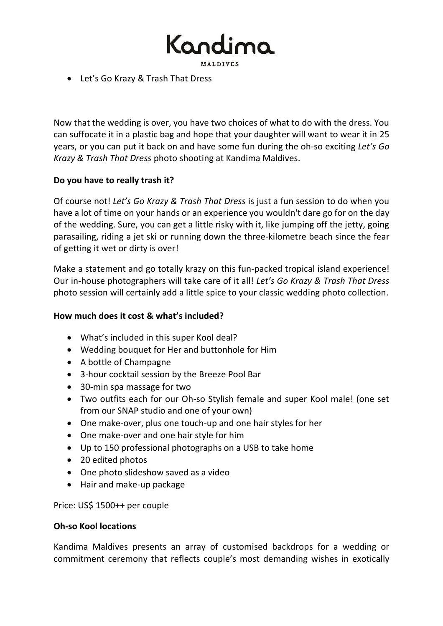Kandir

• Let's Go Krazy & Trash That Dress

Now that the wedding is over, you have two choices of what to do with the dress. You can suffocate it in a plastic bag and hope that your daughter will want to wear it in 25 years, or you can put it back on and have some fun during the oh-so exciting *Let's Go Krazy & Trash That Dress* photo shooting at Kandima Maldives.

### **Do you have to really trash it?**

Of course not! *Let's Go Krazy & Trash That Dress* is just a fun session to do when you have a lot of time on your hands or an experience you wouldn't dare go for on the day of the wedding. Sure, you can get a little risky with it, like jumping off the jetty, going parasailing, riding a jet ski or running down the three-kilometre beach since the fear of getting it wet or dirty is over!

Make a statement and go totally krazy on this fun-packed tropical island experience! Our in-house photographers will take care of it all! *Let's Go Krazy & Trash That Dress* photo session will certainly add a little spice to your classic wedding photo collection.

### **How much does it cost & what's included?**

- What's included in this super Kool deal?
- Wedding bouquet for Her and buttonhole for Him
- A bottle of Champagne
- 3-hour cocktail session by the Breeze Pool Bar
- 30-min spa massage for two
- Two outfits each for our Oh-so Stylish female and super Kool male! (one set from our SNAP studio and one of your own)
- One make-over, plus one touch-up and one hair styles for her
- One make-over and one hair style for him
- Up to 150 professional photographs on a USB to take home
- 20 edited photos
- One photo slideshow saved as a video
- Hair and make-up package

Price: US\$ 1500++ per couple

#### **Oh-so Kool locations**

Kandima Maldives presents an array of customised backdrops for a wedding or commitment ceremony that reflects couple's most demanding wishes in exotically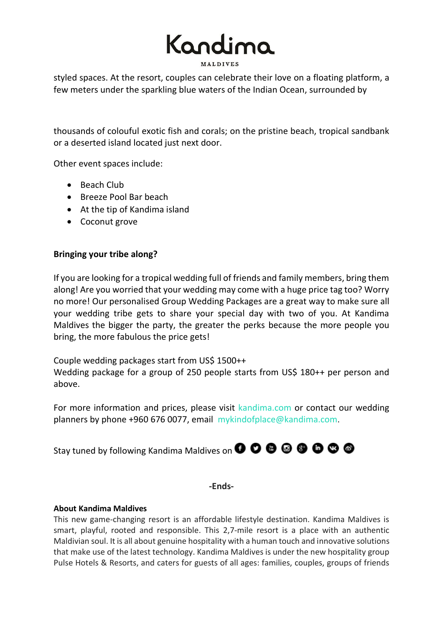

styled spaces. At the resort, couples can celebrate their love on a floating platform, a few meters under the sparkling blue waters of the Indian Ocean, surrounded by

thousands of colouful exotic fish and corals; on the pristine beach, tropical sandbank or a deserted island located just next door.

Other event spaces include:

- Beach Club
- Breeze Pool Bar beach
- At the tip of Kandima island
- Coconut grove

#### **Bringing your tribe along?**

If you are looking for a tropical wedding full of friends and family members, bring them along! Are you worried that your wedding may come with a huge price tag too? Worry no more! Our personalised Group Wedding Packages are a great way to make sure all your wedding tribe gets to share your special day with two of you. At Kandima Maldives the bigger the party, the greater the perks because the more people you bring, the more fabulous the price gets!

Couple wedding packages start from US\$ 1500++

Wedding package for a group of 250 people starts from US\$ 180++ per person and above.

For more information and prices, please visit [kandima.com](http://kandima.com/index.php/en/weddings) or contact our wedding planners by phone +960 676 0077, email [mykindofplace@kandima.com](mailto:mykindofplace@kandima.com).

Staytuned by following Kandima Maldives on **O O O O O O O O** 

**-Ends-**

#### **About Kandima Maldives**

This new game-changing resort is an affordable lifestyle destination. Kandima Maldives is smart, playful, rooted and responsible. This 2,7-mile resort is a place with an authentic Maldivian soul. It is all about genuine hospitality with a human touch and innovative solutions that make use of the latest technology. Kandima Maldives is under the new hospitality group Pulse Hotels & Resorts, and caters for guests of all ages: families, couples, groups of friends